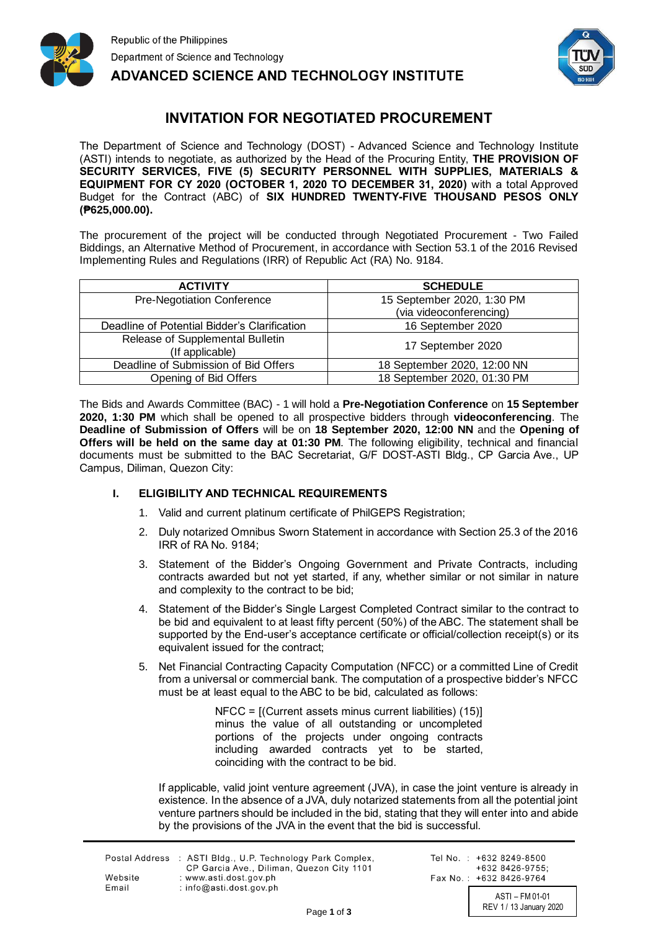



## **INVITATION FOR NEGOTIATED PROCUREMENT**

The Department of Science and Technology (DOST) - Advanced Science and Technology Institute (ASTI) intends to negotiate, as authorized by the Head of the Procuring Entity, **THE PROVISION OF SECURITY SERVICES, FIVE (5) SECURITY PERSONNEL WITH SUPPLIES, MATERIALS & EQUIPMENT FOR CY 2020 (OCTOBER 1, 2020 TO DECEMBER 31, 2020)** with a total Approved Budget for the Contract (ABC) of **SIX HUNDRED TWENTY-FIVE THOUSAND PESOS ONLY (₱625,000.00).**

The procurement of the project will be conducted through Negotiated Procurement - Two Failed Biddings, an Alternative Method of Procurement, in accordance with Section 53.1 of the 2016 Revised Implementing Rules and Regulations (IRR) of Republic Act (RA) No. 9184.

| <b>ACTIVITY</b>                                     | <b>SCHEDULE</b>                                       |
|-----------------------------------------------------|-------------------------------------------------------|
| Pre-Negotiation Conference                          | 15 September 2020, 1:30 PM<br>(via videoconferencing) |
| Deadline of Potential Bidder's Clarification        | 16 September 2020                                     |
| Release of Supplemental Bulletin<br>(If applicable) | 17 September 2020                                     |
| Deadline of Submission of Bid Offers                | 18 September 2020, 12:00 NN                           |
| Opening of Bid Offers                               | 18 September 2020, 01:30 PM                           |

The Bids and Awards Committee (BAC) - 1 will hold a **Pre-Negotiation Conference** on **15 September 2020, 1:30 PM** which shall be opened to all prospective bidders through **videoconferencing**. The **Deadline of Submission of Offers** will be on **18 September 2020, 12:00 NN** and the **Opening of Offers will be held on the same day at 01:30 PM**. The following eligibility, technical and financial documents must be submitted to the BAC Secretariat, G/F DOST-ASTI Bldg., CP Garcia Ave., UP Campus, Diliman, Quezon City:

## **I. ELIGIBILITY AND TECHNICAL REQUIREMENTS**

- 1. Valid and current platinum certificate of PhilGEPS Registration;
- 2. Duly notarized Omnibus Sworn Statement in accordance with Section 25.3 of the 2016 IRR of RA No. 9184;
- 3. Statement of the Bidder's Ongoing Government and Private Contracts, including contracts awarded but not yet started, if any, whether similar or not similar in nature and complexity to the contract to be bid;
- 4. Statement of the Bidder's Single Largest Completed Contract similar to the contract to be bid and equivalent to at least fifty percent (50%) of the ABC. The statement shall be supported by the End-user's acceptance certificate or official/collection receipt(s) or its equivalent issued for the contract;
- 5. Net Financial Contracting Capacity Computation (NFCC) or a committed Line of Credit from a universal or commercial bank. The computation of a prospective bidder's NFCC must be at least equal to the ABC to be bid, calculated as follows:

NFCC = [(Current assets minus current liabilities) (15)] minus the value of all outstanding or uncompleted portions of the projects under ongoing contracts including awarded contracts yet to be started, coinciding with the contract to be bid.

If applicable, valid joint venture agreement (JVA), in case the joint venture is already in existence. In the absence of a JVA, duly notarized statements from all the potential joint venture partners should be included in the bid, stating that they will enter into and abide by the provisions of the JVA in the event that the bid is successful.

|         | Postal Address : ASTI Bldg., U.P. Technology Park Complex,<br>CP Garcia Ave., Diliman, Quezon City 1101 |
|---------|---------------------------------------------------------------------------------------------------------|
| Website | : www.asti.dost.gov.ph                                                                                  |
| Email   | $:$ info@asti.dost.gov.ph                                                                               |

Tel No.: +632 8249-8500 +632 8426-9755: Fax No.: +632 8426-9764

> ASTI – FM 01-01 REV 1 / 13 January 2020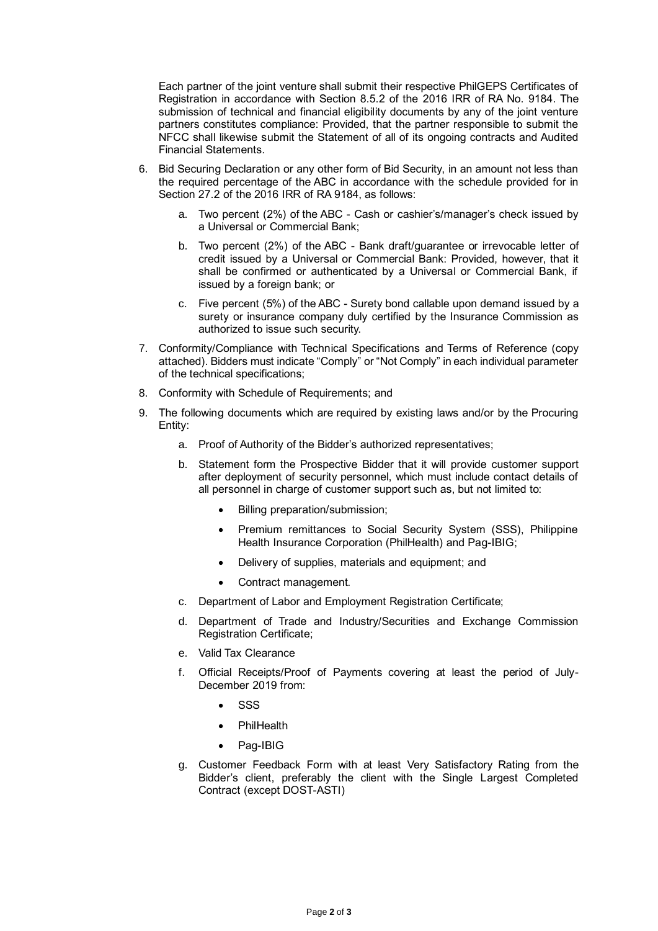Each partner of the joint venture shall submit their respective PhilGEPS Certificates of Registration in accordance with Section 8.5.2 of the 2016 IRR of RA No. 9184. The submission of technical and financial eligibility documents by any of the joint venture partners constitutes compliance: Provided, that the partner responsible to submit the NFCC shall likewise submit the Statement of all of its ongoing contracts and Audited Financial Statements.

- 6. Bid Securing Declaration or any other form of Bid Security, in an amount not less than the required percentage of the ABC in accordance with the schedule provided for in Section 27.2 of the 2016 IRR of RA 9184, as follows:
	- a. Two percent (2%) of the ABC Cash or cashier's/manager's check issued by a Universal or Commercial Bank;
	- b. Two percent (2%) of the ABC Bank draft/guarantee or irrevocable letter of credit issued by a Universal or Commercial Bank: Provided, however, that it shall be confirmed or authenticated by a Universal or Commercial Bank, if issued by a foreign bank; or
	- c. Five percent (5%) of the ABC Surety bond callable upon demand issued by a surety or insurance company duly certified by the Insurance Commission as authorized to issue such security.
- 7. Conformity/Compliance with Technical Specifications and Terms of Reference (copy attached). Bidders must indicate "Comply" or "Not Comply" in each individual parameter of the technical specifications;
- 8. Conformity with Schedule of Requirements; and
- 9. The following documents which are required by existing laws and/or by the Procuring Entity:
	- a. Proof of Authority of the Bidder's authorized representatives;
	- b. Statement form the Prospective Bidder that it will provide customer support after deployment of security personnel, which must include contact details of all personnel in charge of customer support such as, but not limited to:
		- Billing preparation/submission;
		- Premium remittances to Social Security System (SSS), Philippine Health Insurance Corporation (PhilHealth) and Pag-IBIG;
		- Delivery of supplies, materials and equipment; and
		- Contract management.
	- c. Department of Labor and Employment Registration Certificate;
	- d. Department of Trade and Industry/Securities and Exchange Commission Registration Certificate;
	- e. Valid Tax Clearance
	- f. Official Receipts/Proof of Payments covering at least the period of July-December 2019 from:
		- SSS
		- **PhilHealth**
		- Pag-IBIG
	- g. Customer Feedback Form with at least Very Satisfactory Rating from the Bidder's client, preferably the client with the Single Largest Completed Contract (except DOST-ASTI)